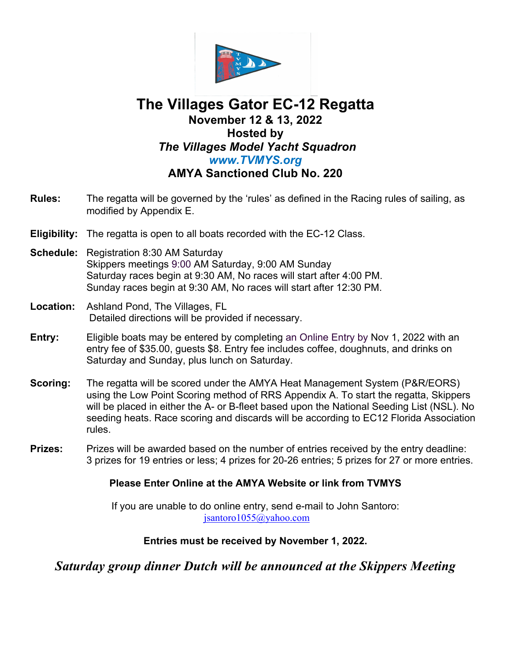

## **The Villages Gator EC-12 Regatta November 12 & 13, 2022 Hosted by** *The Villages Model Yacht Squadron www.TVMYS.org* **AMYA Sanctioned Club No. 220**

- **Rules:** The regatta will be governed by the 'rules' as defined in the Racing rules of sailing, as modified by Appendix E.
- **Eligibility:** The regatta is open to all boats recorded with the EC-12 Class.
- **Schedule:** Registration 8:30 AM Saturday Skippers meetings 9:00 AM Saturday, 9:00 AM Sunday Saturday races begin at 9:30 AM, No races will start after 4:00 PM. Sunday races begin at 9:30 AM, No races will start after 12:30 PM.
- **Location:** Ashland Pond, The Villages, FL Detailed directions will be provided if necessary.
- **Entry:** Eligible boats may be entered by completing an Online Entry by Nov 1, 2022 with an entry fee of \$35.00, guests \$8. Entry fee includes coffee, doughnuts, and drinks on Saturday and Sunday, plus lunch on Saturday.
- **Scoring:** The regatta will be scored under the AMYA Heat Management System (P&R/EORS) using the Low Point Scoring method of RRS Appendix A. To start the regatta, Skippers will be placed in either the A- or B-fleet based upon the National Seeding List (NSL). No seeding heats. Race scoring and discards will be according to EC12 Florida Association rules.
- **Prizes:** Prizes will be awarded based on the number of entries received by the entry deadline: 3 prizes for 19 entries or less; 4 prizes for 20-26 entries; 5 prizes for 27 or more entries.

## **Please Enter Online at the AMYA Website or link from TVMYS**

If you are unable to do online entry, send e-mail to John Santoro: jsantoro1055@yahoo.com

## **Entries must be received by November 1, 2022.**

*Saturday group dinner Dutch will be announced at the Skippers Meeting*